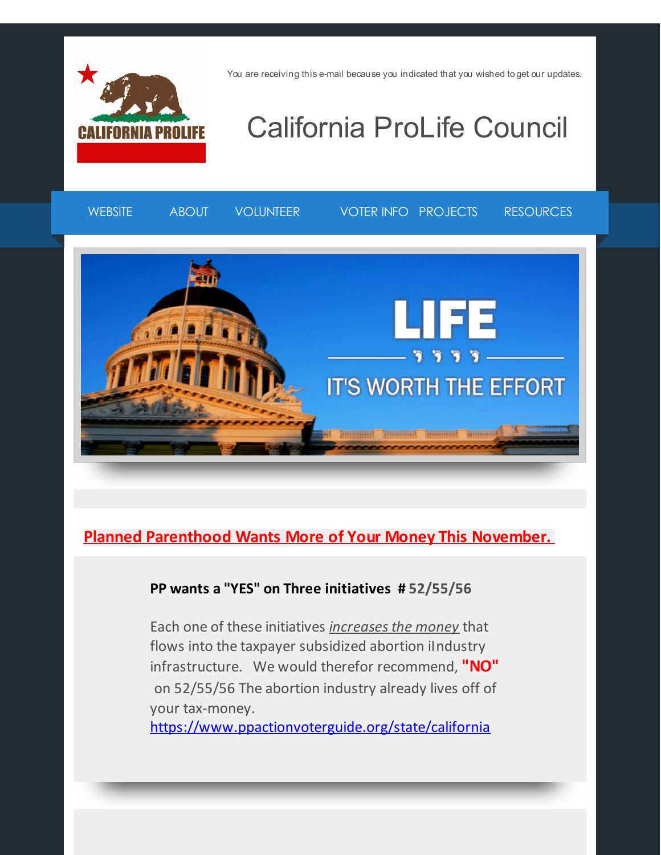

You are receiving this e-mail because you indicated that you wished to get our updates.

# California ProLife Council



#### **Planned Parenthood Wants More of Your Money This November.**

#### **PP wants a "YES" on Three initiatives # 52/55/56**

Each one of these initiatives *increasesthe money* that flows into the taxpayer subsidized abortion iIndustry infrastructure. We would therefor recommend, **"NO"** on 52/55/56 The abortion industry already lives off of your tax-money.

[https://www.ppactionvoterguide.org/state/california](http://r20.rs6.net/tn.jsp?f=001voYZExiA00fjdWmUnScvBJfFGYOCiVICRNpoK-nZWPsQVWAYDcf_zjek-Asoc3snRDN1rpKhzCcTPm5A1wKy8hrhWVJIrBMZoIMCDO0Xce_ND-xZchXMwQaJkK5Vo9tr3RtWEgXdZRuaoNH4y464eQ93JCDhjA6Q_Hi0m_WzibI6AXHmmfcgE67pPmCg7T1XpDiiqCg6HLbNMHYmcaVKQA==&c=&ch=)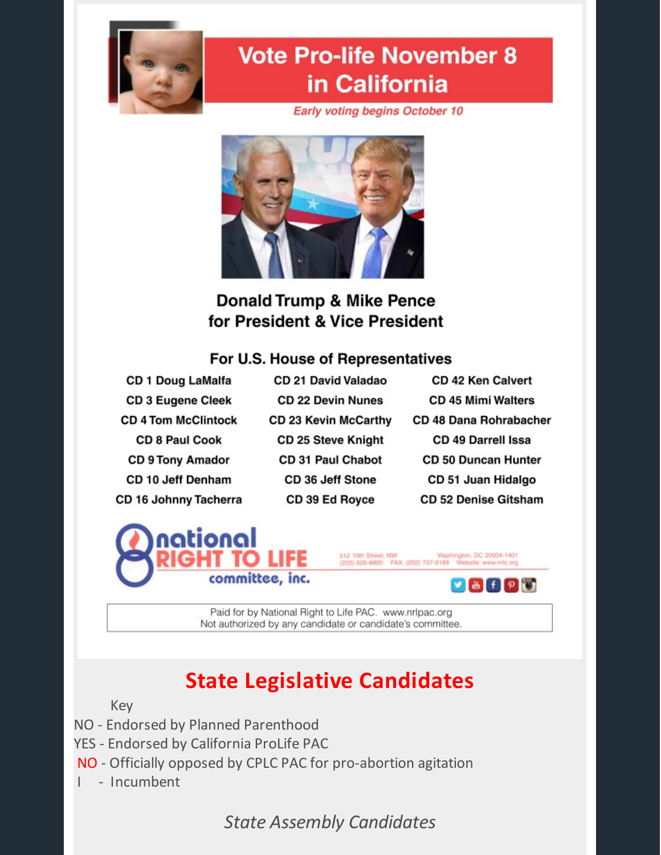

# **Vote Pro-life November 8** in California

**Early voting begins October 10** 



#### **Donald Trump & Mike Pence** for President & Vice President

#### For U.S. House of Representatives

- CD 1 Doug LaMalfa **CD 3 Eugene Cleek CD 4 Tom McClintock CD 8 Paul Cook CD 9 Tony Amador** CD 10 Jeff Denham CD 16 Johnny Tacherra
- CD 21 David Valadao **CD 22 Devin Nunes** CD 23 Kevin McCarthy **CD 25 Steve Knight CD 31 Paul Chabot** CD 36 Jeff Stone CD 39 Ed Royce
- **CD 42 Ken Calvert CD 45 Mimi Walters CD 48 Dana Rohrabacher** CD 49 Darrell Issa **CD 50 Duncan Hunter** CD 51 Juan Hidalgo **CD 52 Denise Gitsham**





Paid for by National Right to Life PAC. www.nrlpac.org Not authorized by any candidate or candidate's committee.

## **State Legislative Candidates**

Key

- NO Endorsed by Planned Parenthood
- YES Endorsed by California ProLife PAC
- NO Officially opposed by CPLC PAC for pro-abortion agitation
- I Incumbent

*State Assembly Candidates*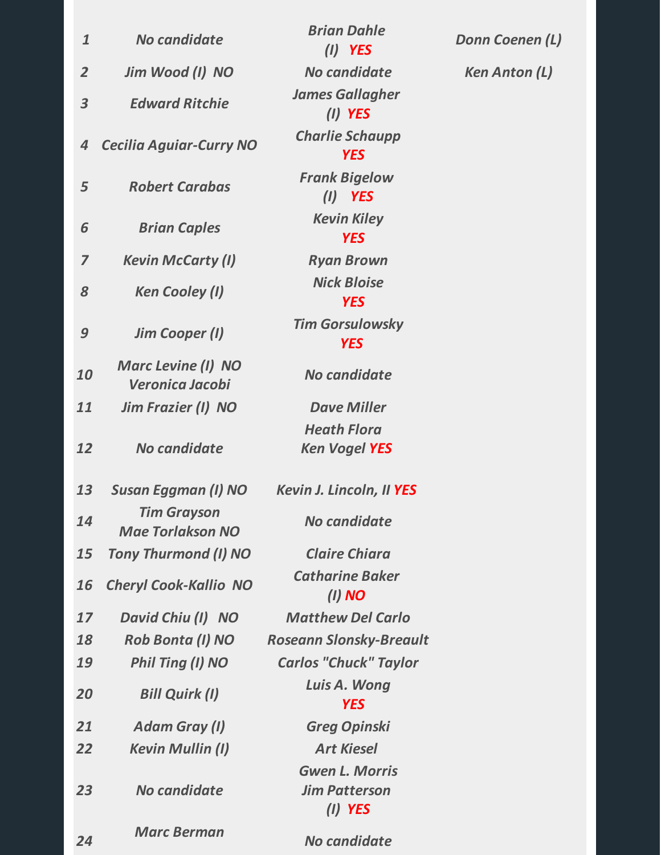| $\mathbf{1}$            | No candidate                                  | <b>Brian Dahle</b><br>$(I)$ YES     |
|-------------------------|-----------------------------------------------|-------------------------------------|
| $\overline{2}$          | Jim Wood (I) NO                               | No candidate                        |
| $\overline{\mathbf{3}}$ | <b>Edward Ritchie</b>                         | <b>James Gallaghe</b><br>$(I)$ YES  |
| $\overline{4}$          | <b>Cecilia Aguiar-Curry NO</b>                | <b>Charlie Schaup</b><br><b>YES</b> |
| 5                       | <b>Robert Carabas</b>                         | <b>Frank Bigelow</b><br>$(I)$ YES   |
| 6                       | <b>Brian Caples</b>                           | <b>Kevin Kiley</b><br><b>YES</b>    |
| 7                       | <b>Kevin McCarty (I)</b>                      | <b>Ryan Brown</b>                   |
| 8                       | <b>Ken Cooley (I)</b>                         | <b>Nick Bloise</b><br><b>YES</b>    |
| 9                       | <b>Jim Cooper (I)</b>                         | <b>Tim Gorsulowsk</b><br><b>YES</b> |
| 10                      | <b>Marc Levine (I) NO</b><br>Veronica Jacobi  | No candidate                        |
| 11                      | <b>Jim Frazier (I) NO</b>                     | <b>Dave Miller</b>                  |
|                         |                                               | <b>Heath Flora</b>                  |
| 12                      | No candidate                                  | <b>Ken Vogel YES</b>                |
| 13                      | <b>Susan Eggman (I) NO</b>                    | <b>Kevin J. Lincoln, II</b>         |
| 14                      | <b>Tim Grayson</b><br><b>Mae Torlakson NO</b> | No candidate                        |
| 15                      | <b>Tony Thurmond (I) NO</b>                   | <b>Claire Chiara</b>                |
| 16                      | <b>Cheryl Cook-Kallio NO</b>                  | <b>Catharine Bake</b><br>(I) NO     |
| 17                      | David Chiu (I) NO                             | <b>Matthew Del Ca</b>               |
| 18                      | <b>Rob Bonta (I) NO</b>                       | <b>Roseann Slonsky-Br</b>           |
| 19                      | Phil Ting (I) NO                              | <b>Carlos "Chuck" Ta</b>            |
| 20                      | <b>Bill Quirk (I)</b>                         | Luis A. Wong<br><b>YES</b>          |
| 21                      | <b>Adam Gray (I)</b>                          | <b>Greg Opinski</b>                 |
| 22                      | <b>Kevin Mullin (I)</b>                       | <b>Art Kiesel</b>                   |
|                         |                                               | <b>Gwen L. Morris</b>               |
| 23                      | No candidate                                  | <b>Jim Patterson</b><br>(I) YES     |
| 24                      | <b>Marc Berman</b>                            | No candidate                        |

*Brian Dahle (I) YES James Gallagher (I) YES Charlie Schaupp YES Frank Bigelow (I) YES Kevin Kiley YES 7 Kevin McCarty (I) Ryan Brown*  $2k$  *Bloise YES Tim Gorsulowsky YES No candidate 11 Jim Frazier (I) NO Dave Miller Heath Flora Ken Vogel YES 13 Susan Eggman (I) NO Kevin J. Lincoln, II YES No candidate 15 Tony Thurmond (I) NO Claire Chiara Catharine Baker (I) NO 17 David Chiu (I) NO Matthew Del Carlo 18 Rob Bonta (I) NO Roseann Slonsky-Breault 19 Phil Ting (I) NO Carlos "Chuck" Taylor* A. *Wong YES 21 Adam Gray (I) Greg Opinski 22 Kevin Mullin (I) Art Kiesel Gwen L. Morris Jim Patterson (I) YES*

*Donn Coenen (L) 2 Jim Wood (I) NO No candidate Ken Anton (L)*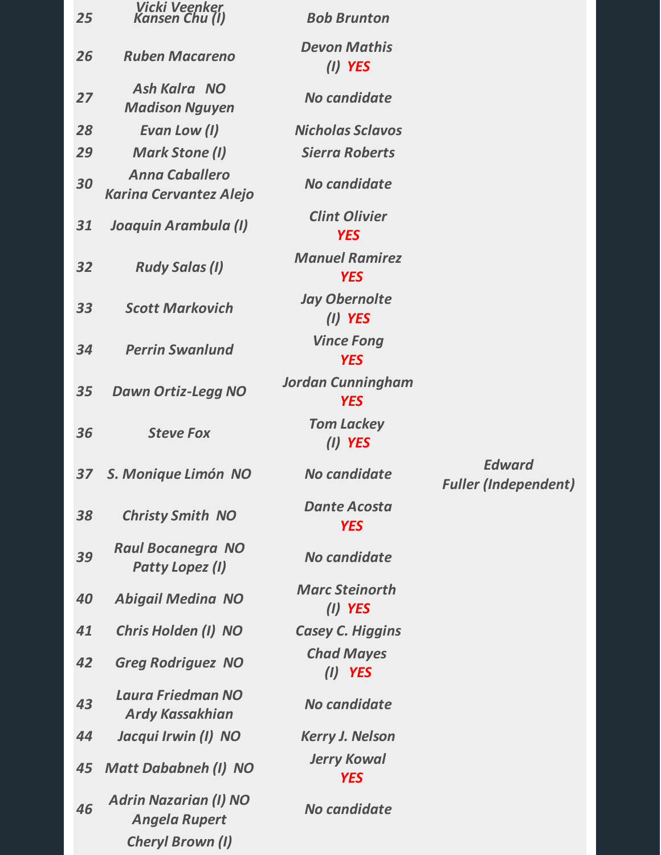| 25 | <b>Vicki Veenker</b><br>Kansen Chu (I)                 | <b>Bob Brunton</b>                     |                                              |
|----|--------------------------------------------------------|----------------------------------------|----------------------------------------------|
| 26 | <b>Ruben Macareno</b>                                  | <b>Devon Mathis</b><br>$(I)$ YES       |                                              |
| 27 | Ash Kalra NO<br><b>Madison Nguyen</b>                  | No candidate                           |                                              |
| 28 | Evan Low (I)                                           | <b>Nicholas Sclavos</b>                |                                              |
| 29 | <b>Mark Stone (I)</b>                                  | <b>Sierra Roberts</b>                  |                                              |
| 30 | <b>Anna Caballero</b><br><b>Karina Cervantez Alejo</b> | No candidate                           |                                              |
| 31 | Joaquin Arambula (I)                                   | <b>Clint Olivier</b><br><b>YES</b>     |                                              |
| 32 | <b>Rudy Salas (I)</b>                                  | <b>Manuel Ramirez</b><br><b>YES</b>    |                                              |
| 33 | <b>Scott Markovich</b>                                 | <b>Jay Obernolte</b><br>$(I)$ YES      |                                              |
| 34 | <b>Perrin Swanlund</b>                                 | <b>Vince Fong</b><br><b>YES</b>        |                                              |
| 35 | <b>Dawn Ortiz-Legg NO</b>                              | <b>Jordan Cunningham</b><br><b>YES</b> |                                              |
| 36 | <b>Steve Fox</b>                                       | <b>Tom Lackey</b><br>$(I)$ YES         |                                              |
| 37 | S. Monique Limón NO                                    | No candidate                           | <b>Edward</b><br><b>Fuller (Independent)</b> |
| 38 | <b>Christy Smith NO</b>                                | <b>Dante Acosta</b><br><b>YES</b>      |                                              |
| 39 | <b>Raul Bocanegra NO</b><br>Patty Lopez (I)            | No candidate                           |                                              |
| 40 | <b>Abigail Medina NO</b>                               | <b>Marc Steinorth</b><br>$(I)$ YES     |                                              |
| 41 | Chris Holden (I) NO                                    | <b>Casey C. Higgins</b>                |                                              |
| 42 | <b>Greg Rodriguez NO</b>                               | <b>Chad Mayes</b><br>$(I)$ YES         |                                              |
| 43 | Laura Friedman NO<br><b>Ardy Kassakhian</b>            | No candidate                           |                                              |
| 44 | Jacqui Irwin (I) NO                                    | <b>Kerry J. Nelson</b>                 |                                              |
| 45 | <b>Matt Dababneh (I) NO</b>                            | <b>Jerry Kowal</b><br><b>YES</b>       |                                              |
| 46 | <b>Adrin Nazarian (I) NO</b><br><b>Angela Rupert</b>   | No candidate                           |                                              |
|    | <b>Cheryl Brown (I)</b>                                |                                        |                                              |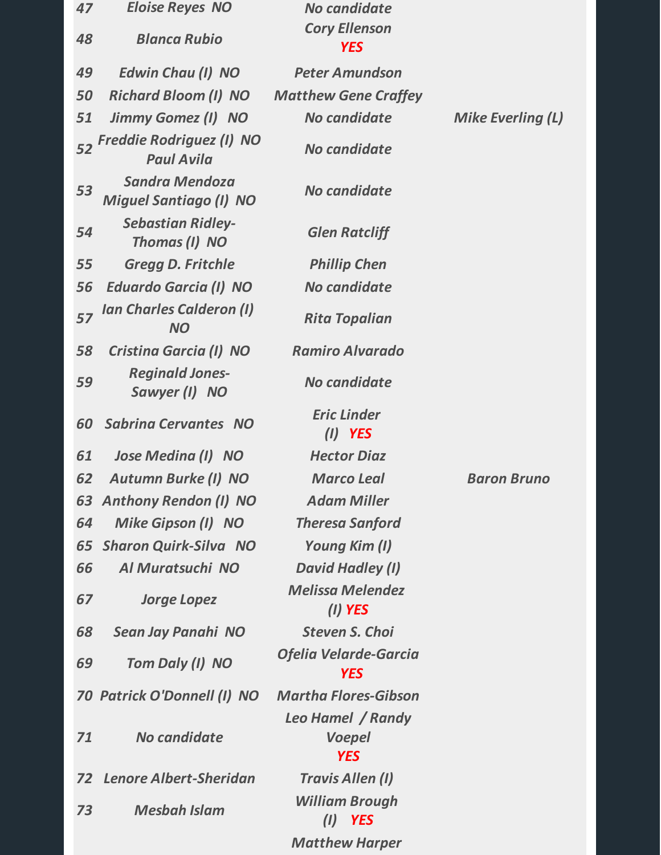| 47 | <b>Eloise Reyes NO</b>                                 | No candidate                               |                          |
|----|--------------------------------------------------------|--------------------------------------------|--------------------------|
| 48 | <b>Blanca Rubio</b>                                    | <b>Cory Ellenson</b><br><b>YES</b>         |                          |
| 49 | <b>Edwin Chau (I) NO</b>                               | <b>Peter Amundson</b>                      |                          |
| 50 | <b>Richard Bloom (I) NO</b>                            | <b>Matthew Gene Craffey</b>                |                          |
| 51 | Jimmy Gomez (I) NO                                     | No candidate                               | <b>Mike Everling (L)</b> |
|    | 52 Freddie Rodriguez (I) NO<br><b>Paul Avila</b>       | No candidate                               |                          |
| 53 | <b>Sandra Mendoza</b><br><b>Miguel Santiago (I) NO</b> | No candidate                               |                          |
| 54 | <b>Sebastian Ridley-</b><br>Thomas (I) NO              | <b>Glen Ratcliff</b>                       |                          |
| 55 | <b>Gregg D. Fritchle</b>                               | <b>Phillip Chen</b>                        |                          |
| 56 | <b>Eduardo Garcia (I) NO</b>                           | No candidate                               |                          |
| 57 | <b>Ian Charles Calderon (I)</b><br><b>NO</b>           | <b>Rita Topalian</b>                       |                          |
| 58 | Cristina Garcia (I) NO                                 | <b>Ramiro Alvarado</b>                     |                          |
| 59 | <b>Reginald Jones-</b><br>Sawyer (I) NO                | No candidate                               |                          |
| 60 | <b>Sabrina Cervantes NO</b>                            | <b>Eric Linder</b><br>$(I)$ YES            |                          |
| 61 | Jose Medina (I) NO                                     | <b>Hector Diaz</b>                         |                          |
| 62 | <b>Autumn Burke (I) NO</b>                             | <b>Marco Leal</b>                          | <b>Baron Bruno</b>       |
|    | 63 Anthony Rendon (I) NO                               | <b>Adam Miller</b>                         |                          |
| 64 | Mike Gipson (I) NO                                     | <b>Theresa Sanford</b>                     |                          |
| 65 | <b>Sharon Quirk-Silva NO</b>                           | Young Kim (I)                              |                          |
| 66 | Al Muratsuchi NO                                       | David Hadley (I)                           |                          |
| 67 | <b>Jorge Lopez</b>                                     | <b>Melissa Melendez</b><br>$(I)$ YES       |                          |
| 68 | Sean Jay Panahi NO                                     | <b>Steven S. Choi</b>                      |                          |
| 69 | Tom Daly (I) NO                                        | <b>Ofelia Velarde-Garcia</b><br><b>YES</b> |                          |
|    | 70 Patrick O'Donnell (I) NO                            | <b>Martha Flores-Gibson</b>                |                          |
| 71 | No candidate                                           | Leo Hamel / Randy<br>Voepel<br><b>YES</b>  |                          |
| 72 | <b>Lenore Albert-Sheridan</b>                          | <b>Travis Allen (I)</b>                    |                          |
| 73 | <b>Mesbah Islam</b>                                    | <b>William Brough</b><br>$(I)$ YES         |                          |
|    |                                                        | <b>Matthew Harper</b>                      |                          |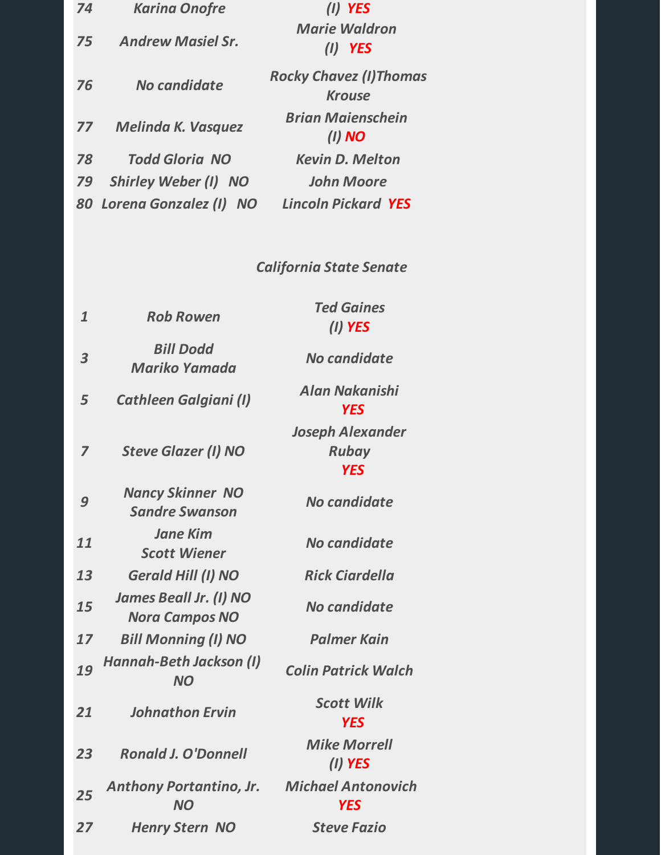| 74 | <b>Karina Onofre</b>        | YES                                            |  |
|----|-----------------------------|------------------------------------------------|--|
| 75 | <b>Andrew Masiel Sr.</b>    | <b>Marie Waldron</b><br><b>YES</b><br>(1)      |  |
| 76 | No candidate                | <b>Rocky Chavez (I)Thomas</b><br><b>Krouse</b> |  |
| 77 | <b>Melinda K. Vasquez</b>   | <b>Brian Maienschein</b><br>$(I)$ NO           |  |
| 78 | <b>Todd Gloria NO</b>       | <b>Kevin D. Melton</b>                         |  |
| 79 | <b>Shirley Weber (I) NO</b> | <b>John Moore</b>                              |  |
|    | 80 Lorena Gonzalez (I) NO   | <b>Lincoln Pickard YES</b>                     |  |

### *California State Senate*

| $\mathbf{1}$            | <b>Rob Rowen</b>                                       | <b>Ted Gaines</b><br>(I) YES                          |
|-------------------------|--------------------------------------------------------|-------------------------------------------------------|
| $\overline{\mathbf{3}}$ | <b>Bill Dodd</b><br>Mariko Yamada                      | No candidate                                          |
| 5                       | <b>Cathleen Galgiani (I)</b>                           | Alan Nakanishi<br><b>YES</b>                          |
| $\overline{z}$          | <b>Steve Glazer (I) NO</b>                             | <b>Joseph Alexander</b><br><b>Rubay</b><br><b>YES</b> |
| 9                       | <b>Nancy Skinner NO</b><br><b>Sandre Swanson</b>       | No candidate                                          |
| 11                      | <b>Jane Kim</b><br><b>Scott Wiener</b>                 | No candidate                                          |
| 13                      | <b>Gerald Hill (I) NO</b>                              | <b>Rick Ciardella</b>                                 |
| 15                      | <b>James Beall Jr. (I) NO</b><br><b>Nora Campos NO</b> | No candidate                                          |
| 17                      | <b>Bill Monning (I) NO</b>                             | <b>Palmer Kain</b>                                    |
| 19                      | Hannah-Beth Jackson (I)<br><b>NO</b>                   | <b>Colin Patrick Walch</b>                            |
| 21                      | <b>Johnathon Ervin</b>                                 | <b>Scott Wilk</b><br><b>YES</b>                       |
| 23                      | <b>Ronald J. O'Donnell</b>                             | <b>Mike Morrell</b><br>$(I)$ YES                      |
| 25                      | <b>Anthony Portantino, Jr.</b><br><b>NO</b>            | <b>Michael Antonovich</b><br><b>YES</b>               |
| 27                      | <b>Henry Stern NO</b>                                  | <b>Steve Fazio</b>                                    |